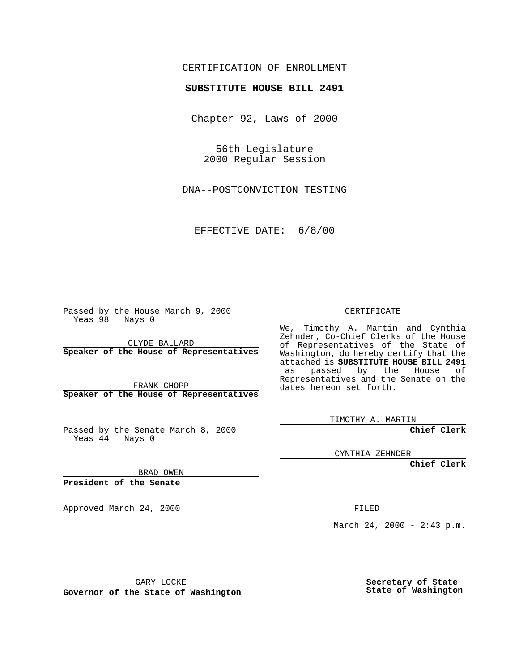### CERTIFICATION OF ENROLLMENT

# **SUBSTITUTE HOUSE BILL 2491**

Chapter 92, Laws of 2000

56th Legislature 2000 Regular Session

DNA--POSTCONVICTION TESTING

EFFECTIVE DATE: 6/8/00

Passed by the House March 9, 2000 Yeas 98 Nays 0

CLYDE BALLARD **Speaker of the House of Representatives**

FRANK CHOPP **Speaker of the House of Representatives**

Passed by the Senate March 8, 2000 Yeas  $4\overline{4}$  Nays 0

CERTIFICATE

We, Timothy A. Martin and Cynthia Zehnder, Co-Chief Clerks of the House of Representatives of the State of Washington, do hereby certify that the attached is **SUBSTITUTE HOUSE BILL 2491** as passed by the House of Representatives and the Senate on the dates hereon set forth.

TIMOTHY A. MARTIN

**Chief Clerk**

CYNTHIA ZEHNDER

**Chief Clerk**

BRAD OWEN

**President of the Senate**

Approved March 24, 2000 FILED

March 24, 2000 - 2:43 p.m.

GARY LOCKE

**Governor of the State of Washington**

**Secretary of State State of Washington**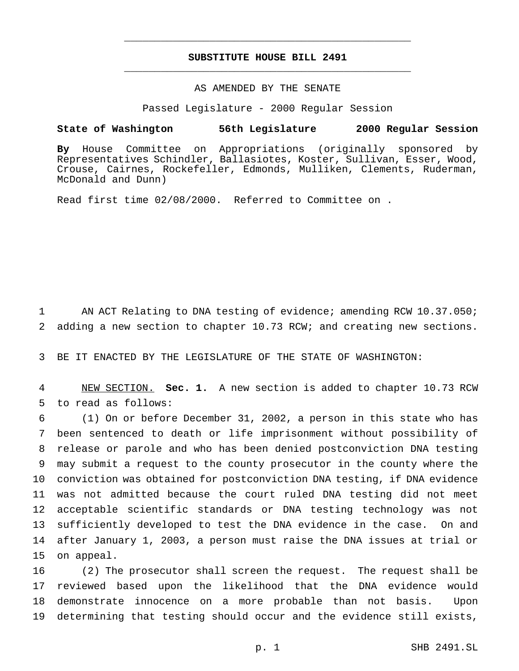## **SUBSTITUTE HOUSE BILL 2491** \_\_\_\_\_\_\_\_\_\_\_\_\_\_\_\_\_\_\_\_\_\_\_\_\_\_\_\_\_\_\_\_\_\_\_\_\_\_\_\_\_\_\_\_\_\_\_

\_\_\_\_\_\_\_\_\_\_\_\_\_\_\_\_\_\_\_\_\_\_\_\_\_\_\_\_\_\_\_\_\_\_\_\_\_\_\_\_\_\_\_\_\_\_\_

#### AS AMENDED BY THE SENATE

Passed Legislature - 2000 Regular Session

#### **State of Washington 56th Legislature 2000 Regular Session**

**By** House Committee on Appropriations (originally sponsored by Representatives Schindler, Ballasiotes, Koster, Sullivan, Esser, Wood, Crouse, Cairnes, Rockefeller, Edmonds, Mulliken, Clements, Ruderman, McDonald and Dunn)

Read first time 02/08/2000. Referred to Committee on .

1 AN ACT Relating to DNA testing of evidence; amending RCW 10.37.050; 2 adding a new section to chapter 10.73 RCW; and creating new sections.

3 BE IT ENACTED BY THE LEGISLATURE OF THE STATE OF WASHINGTON:

4 NEW SECTION. **Sec. 1.** A new section is added to chapter 10.73 RCW 5 to read as follows:

 (1) On or before December 31, 2002, a person in this state who has been sentenced to death or life imprisonment without possibility of release or parole and who has been denied postconviction DNA testing may submit a request to the county prosecutor in the county where the conviction was obtained for postconviction DNA testing, if DNA evidence was not admitted because the court ruled DNA testing did not meet acceptable scientific standards or DNA testing technology was not sufficiently developed to test the DNA evidence in the case. On and after January 1, 2003, a person must raise the DNA issues at trial or on appeal.

 (2) The prosecutor shall screen the request. The request shall be reviewed based upon the likelihood that the DNA evidence would demonstrate innocence on a more probable than not basis. Upon determining that testing should occur and the evidence still exists,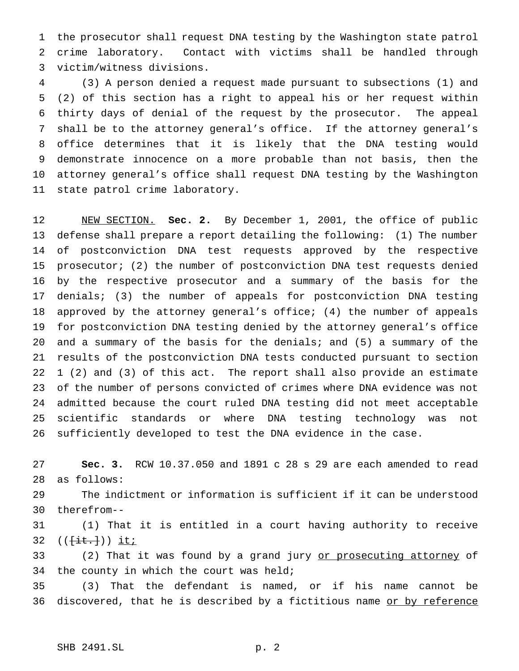the prosecutor shall request DNA testing by the Washington state patrol crime laboratory. Contact with victims shall be handled through victim/witness divisions.

 (3) A person denied a request made pursuant to subsections (1) and (2) of this section has a right to appeal his or her request within thirty days of denial of the request by the prosecutor. The appeal shall be to the attorney general's office. If the attorney general's office determines that it is likely that the DNA testing would demonstrate innocence on a more probable than not basis, then the attorney general's office shall request DNA testing by the Washington state patrol crime laboratory.

 NEW SECTION. **Sec. 2.** By December 1, 2001, the office of public defense shall prepare a report detailing the following: (1) The number of postconviction DNA test requests approved by the respective prosecutor; (2) the number of postconviction DNA test requests denied by the respective prosecutor and a summary of the basis for the denials; (3) the number of appeals for postconviction DNA testing approved by the attorney general's office; (4) the number of appeals for postconviction DNA testing denied by the attorney general's office and a summary of the basis for the denials; and (5) a summary of the results of the postconviction DNA tests conducted pursuant to section 1 (2) and (3) of this act. The report shall also provide an estimate of the number of persons convicted of crimes where DNA evidence was not admitted because the court ruled DNA testing did not meet acceptable scientific standards or where DNA testing technology was not sufficiently developed to test the DNA evidence in the case.

 **Sec. 3.** RCW 10.37.050 and 1891 c 28 s 29 are each amended to read as follows:

 The indictment or information is sufficient if it can be understood therefrom--

 (1) That it is entitled in a court having authority to receive  $((\{\text{it.}\}) )$  it;

33 (2) That it was found by a grand jury or prosecuting attorney of 34 the county in which the court was held;

 (3) That the defendant is named, or if his name cannot be 36 discovered, that he is described by a fictitious name or by reference